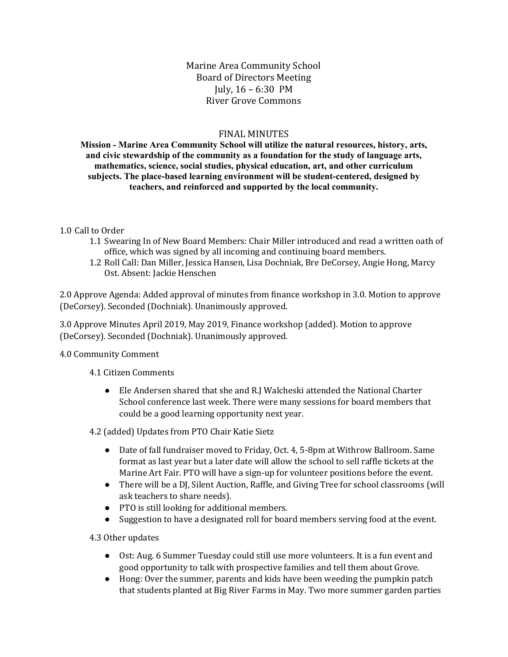Marine Area Community School Board of Directors Meeting July, 16 – 6:30 PM River Grove Commons

#### FINAL MINUTES

**Mission - Marine Area Community School will utilize the natural resources, history, arts, and civic stewardship of the community as a foundation for the study of language arts, mathematics, science, social studies, physical education, art, and other curriculum subjects. The place-based learning environment will be student-centered, designed by teachers, and reinforced and supported by the local community.**

#### 1.0 Call to Order

- 1.1 Swearing In of New Board Members: Chair Miller introduced and read a written oath of office, which was signed by all incoming and continuing board members.
- 1.2 Roll Call: Dan Miller, Jessica Hansen, Lisa Dochniak, Bre DeCorsey, Angie Hong, Marcy Ost. Absent: Jackie Henschen

2.0 Approve Agenda: Added approval of minutes from finance workshop in 3.0. Motion to approve (DeCorsey). Seconded (Dochniak). Unanimously approved.

3.0 Approve Minutes April 2019, May 2019, Finance workshop (added). Motion to approve (DeCorsey). Seconded (Dochniak). Unanimously approved.

4.0 Community Comment

4.1 Citizen Comments

● Ele Andersen shared that she and R.J Walcheski attended the National Charter School conference last week. There were many sessions for board members that could be a good learning opportunity next year.

4.2 (added) Updates from PTO Chair Katie Sietz

- Date of fall fundraiser moved to Friday, Oct. 4, 5-8pm at Withrow Ballroom. Same format as last year but a later date will allow the school to sell raffle tickets at the Marine Art Fair. PTO will have a sign-up for volunteer positions before the event.
- There will be a DJ, Silent Auction, Raffle, and Giving Tree for school classrooms (will ask teachers to share needs).
- PTO is still looking for additional members.
- Suggestion to have a designated roll for board members serving food at the event.

4.3 Other updates

- Ost: Aug. 6 Summer Tuesday could still use more volunteers. It is a fun event and good opportunity to talk with prospective families and tell them about Grove.
- Hong: Over the summer, parents and kids have been weeding the pumpkin patch that students planted at Big River Farms in May. Two more summer garden parties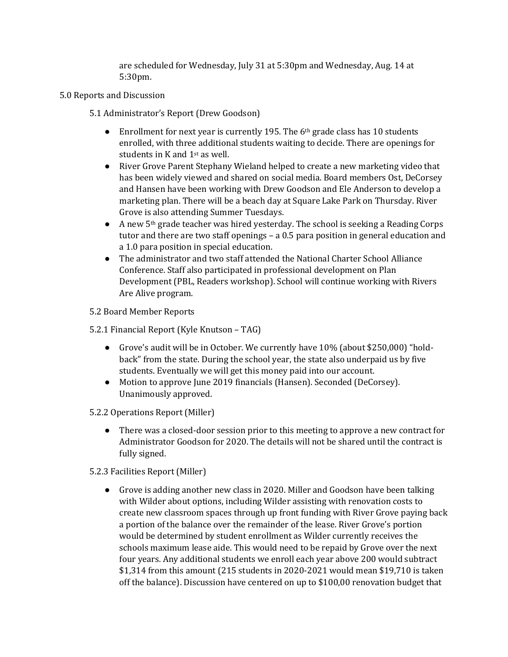are scheduled for Wednesday, July 31 at 5:30pm and Wednesday, Aug. 14 at 5:30pm.

- 5.0 Reports and Discussion
	- 5.1 Administrator's Report (Drew Goodson)
		- Enrollment for next year is currently 195. The  $6<sup>th</sup>$  grade class has 10 students enrolled, with three additional students waiting to decide. There are openings for students in K and 1st as well.
		- River Grove Parent Stephany Wieland helped to create a new marketing video that has been widely viewed and shared on social media. Board members Ost, DeCorsey and Hansen have been working with Drew Goodson and Ele Anderson to develop a marketing plan. There will be a beach day at Square Lake Park on Thursday. River Grove is also attending Summer Tuesdays.
		- A new 5th grade teacher was hired yesterday. The school is seeking a Reading Corps tutor and there are two staff openings – a 0.5 para position in general education and a 1.0 para position in special education.
		- The administrator and two staff attended the National Charter School Alliance Conference. Staff also participated in professional development on Plan Development (PBL, Readers workshop). School will continue working with Rivers Are Alive program.
	- 5.2 Board Member Reports
	- 5.2.1 Financial Report (Kyle Knutson TAG)
		- Grove's audit will be in October. We currently have 10% (about \$250,000) "holdback" from the state. During the school year, the state also underpaid us by five students. Eventually we will get this money paid into our account.
		- Motion to approve June 2019 financials (Hansen). Seconded (DeCorsey). Unanimously approved.
	- 5.2.2 Operations Report (Miller)
		- There was a closed-door session prior to this meeting to approve a new contract for Administrator Goodson for 2020. The details will not be shared until the contract is fully signed.
	- 5.2.3 Facilities Report (Miller)
		- Grove is adding another new class in 2020. Miller and Goodson have been talking with Wilder about options, including Wilder assisting with renovation costs to create new classroom spaces through up front funding with River Grove paying back a portion of the balance over the remainder of the lease. River Grove's portion would be determined by student enrollment as Wilder currently receives the schools maximum lease aide. This would need to be repaid by Grove over the next four years. Any additional students we enroll each year above 200 would subtract \$1,314 from this amount (215 students in 2020-2021 would mean \$19,710 is taken off the balance). Discussion have centered on up to \$100,00 renovation budget that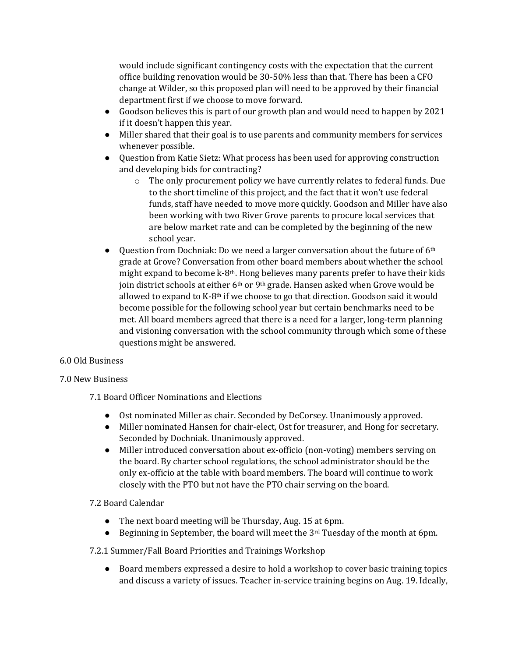would include significant contingency costs with the expectation that the current office building renovation would be 30-50% less than that. There has been a CFO change at Wilder, so this proposed plan will need to be approved by their financial department first if we choose to move forward.

- Goodson believes this is part of our growth plan and would need to happen by 2021 if it doesn't happen this year.
- Miller shared that their goal is to use parents and community members for services whenever possible.
- Question from Katie Sietz: What process has been used for approving construction and developing bids for contracting?
	- o The only procurement policy we have currently relates to federal funds. Due to the short timeline of this project, and the fact that it won't use federal funds, staff have needed to move more quickly. Goodson and Miller have also been working with two River Grove parents to procure local services that are below market rate and can be completed by the beginning of the new school year.
- Question from Dochniak: Do we need a larger conversation about the future of  $6<sup>th</sup>$ grade at Grove? Conversation from other board members about whether the school might expand to become k-8th. Hong believes many parents prefer to have their kids join district schools at either 6<sup>th</sup> or 9<sup>th</sup> grade. Hansen asked when Grove would be allowed to expand to K-8<sup>th</sup> if we choose to go that direction. Goodson said it would become possible for the following school year but certain benchmarks need to be met. All board members agreed that there is a need for a larger, long-term planning and visioning conversation with the school community through which some of these questions might be answered.

# 6.0 Old Business

# 7.0 New Business

7.1 Board Officer Nominations and Elections

- Ost nominated Miller as chair. Seconded by DeCorsey. Unanimously approved.
- Miller nominated Hansen for chair-elect, Ost for treasurer, and Hong for secretary. Seconded by Dochniak. Unanimously approved.
- Miller introduced conversation about ex-officio (non-voting) members serving on the board. By charter school regulations, the school administrator should be the only ex-officio at the table with board members. The board will continue to work closely with the PTO but not have the PTO chair serving on the board.

# 7.2 Board Calendar

- The next board meeting will be Thursday, Aug. 15 at 6pm.
- Beginning in September, the board will meet the  $3<sup>rd</sup>$  Tuesday of the month at 6pm.

# 7.2.1 Summer/Fall Board Priorities and Trainings Workshop

● Board members expressed a desire to hold a workshop to cover basic training topics and discuss a variety of issues. Teacher in-service training begins on Aug. 19. Ideally,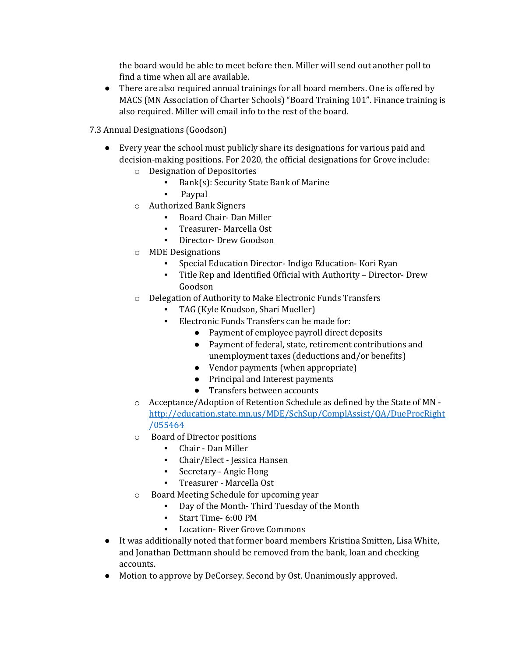the board would be able to meet before then. Miller will send out another poll to find a time when all are available.

- There are also required annual trainings for all board members. One is offered by MACS (MN Association of Charter Schools) "Board Training 101". Finance training is also required. Miller will email info to the rest of the board.
- 7.3 Annual Designations (Goodson)
	- Every year the school must publicly share its designations for various paid and decision-making positions. For 2020, the official designations for Grove include:
		- o Designation of Depositories
			- Bank(s): Security State Bank of Marine
			- Paypal
		- o Authorized Bank Signers
			- Board Chair- Dan Miller
			- Treasurer- Marcella Ost
			- Director- Drew Goodson
		- o MDE Designations
			- Special Education Director- Indigo Education- Kori Ryan
			- Title Rep and Identified Official with Authority Director- Drew Goodson
		- o Delegation of Authority to Make Electronic Funds Transfers
			- TAG (Kyle Knudson, Shari Mueller)
			- Electronic Funds Transfers can be made for:
				- Payment of employee payroll direct deposits
				- Payment of federal, state, retirement contributions and unemployment taxes (deductions and/or benefits)
				- Vendor payments (when appropriate)
				- Principal and Interest payments
				- Transfers between accounts
		- o Acceptance/Adoption of Retention Schedule as defined by the State of MN [http://education.state.mn.us/MDE/SchSup/ComplAssist/QA/DueProcRight](http://education.state.mn.us/MDE/SchSup/ComplAssist/QA/DueProcRight/055464) [/055464](http://education.state.mn.us/MDE/SchSup/ComplAssist/QA/DueProcRight/055464)
		- o Board of Director positions
			- Chair Dan Miller
			- Chair/Elect Jessica Hansen
			- Secretary Angie Hong
			- Treasurer Marcella Ost
		- o Board Meeting Schedule for upcoming year
			- Day of the Month- Third Tuesday of the Month
			- Start Time- 6:00 PM
			- Location- River Grove Commons
	- It was additionally noted that former board members Kristina Smitten, Lisa White, and Jonathan Dettmann should be removed from the bank, loan and checking accounts.
	- Motion to approve by DeCorsey. Second by Ost. Unanimously approved.